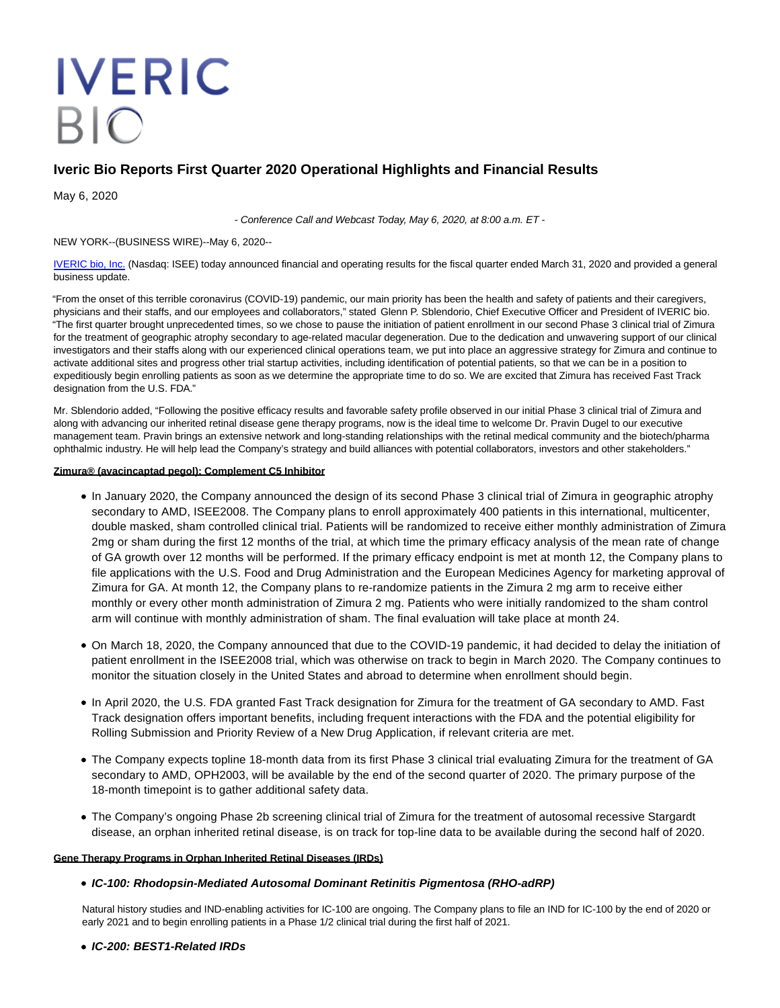# **IVERIC**  $BIO$

# **Iveric Bio Reports First Quarter 2020 Operational Highlights and Financial Results**

May 6, 2020

- Conference Call and Webcast Today, May 6, 2020, at 8:00 a.m. ET -

#### NEW YORK--(BUSINESS WIRE)--May 6, 2020--

[IVERIC bio, Inc. \(](https://cts.businesswire.com/ct/CT?id=smartlink&url=http%3A%2F%2Fwww.ivericbio.com&esheet=52215413&newsitemid=20200506005222&lan=en-US&anchor=IVERIC+bio%2C+Inc.&index=1&md5=efde23f391301dc18382753d264bedfd)Nasdaq: ISEE) today announced financial and operating results for the fiscal quarter ended March 31, 2020 and provided a general business update.

"From the onset of this terrible coronavirus (COVID-19) pandemic, our main priority has been the health and safety of patients and their caregivers, physicians and their staffs, and our employees and collaborators," stated Glenn P. Sblendorio, Chief Executive Officer and President of IVERIC bio. "The first quarter brought unprecedented times, so we chose to pause the initiation of patient enrollment in our second Phase 3 clinical trial of Zimura for the treatment of geographic atrophy secondary to age-related macular degeneration. Due to the dedication and unwavering support of our clinical investigators and their staffs along with our experienced clinical operations team, we put into place an aggressive strategy for Zimura and continue to activate additional sites and progress other trial startup activities, including identification of potential patients, so that we can be in a position to expeditiously begin enrolling patients as soon as we determine the appropriate time to do so. We are excited that Zimura has received Fast Track designation from the U.S. FDA."

Mr. Sblendorio added, "Following the positive efficacy results and favorable safety profile observed in our initial Phase 3 clinical trial of Zimura and along with advancing our inherited retinal disease gene therapy programs, now is the ideal time to welcome Dr. Pravin Dugel to our executive management team. Pravin brings an extensive network and long-standing relationships with the retinal medical community and the biotech/pharma ophthalmic industry. He will help lead the Company's strategy and build alliances with potential collaborators, investors and other stakeholders."

#### **Zimura® (avacincaptad pegol): Complement C5 Inhibitor**

- In January 2020, the Company announced the design of its second Phase 3 clinical trial of Zimura in geographic atrophy secondary to AMD, ISEE2008. The Company plans to enroll approximately 400 patients in this international, multicenter, double masked, sham controlled clinical trial. Patients will be randomized to receive either monthly administration of Zimura 2mg or sham during the first 12 months of the trial, at which time the primary efficacy analysis of the mean rate of change of GA growth over 12 months will be performed. If the primary efficacy endpoint is met at month 12, the Company plans to file applications with the U.S. Food and Drug Administration and the European Medicines Agency for marketing approval of Zimura for GA. At month 12, the Company plans to re-randomize patients in the Zimura 2 mg arm to receive either monthly or every other month administration of Zimura 2 mg. Patients who were initially randomized to the sham control arm will continue with monthly administration of sham. The final evaluation will take place at month 24.
- On March 18, 2020, the Company announced that due to the COVID-19 pandemic, it had decided to delay the initiation of patient enrollment in the ISEE2008 trial, which was otherwise on track to begin in March 2020. The Company continues to monitor the situation closely in the United States and abroad to determine when enrollment should begin.
- In April 2020, the U.S. FDA granted Fast Track designation for Zimura for the treatment of GA secondary to AMD. Fast Track designation offers important benefits, including frequent interactions with the FDA and the potential eligibility for Rolling Submission and Priority Review of a New Drug Application, if relevant criteria are met.
- The Company expects topline 18-month data from its first Phase 3 clinical trial evaluating Zimura for the treatment of GA secondary to AMD, OPH2003, will be available by the end of the second quarter of 2020. The primary purpose of the 18-month timepoint is to gather additional safety data.
- The Company's ongoing Phase 2b screening clinical trial of Zimura for the treatment of autosomal recessive Stargardt disease, an orphan inherited retinal disease, is on track for top-line data to be available during the second half of 2020.

#### **Gene Therapy Programs in Orphan Inherited Retinal Diseases (IRDs)**

# **IC-100: Rhodopsin-Mediated Autosomal Dominant Retinitis Pigmentosa (RHO-adRP)**

Natural history studies and IND-enabling activities for IC-100 are ongoing. The Company plans to file an IND for IC-100 by the end of 2020 or early 2021 and to begin enrolling patients in a Phase 1/2 clinical trial during the first half of 2021.

**IC-200: BEST1-Related IRDs**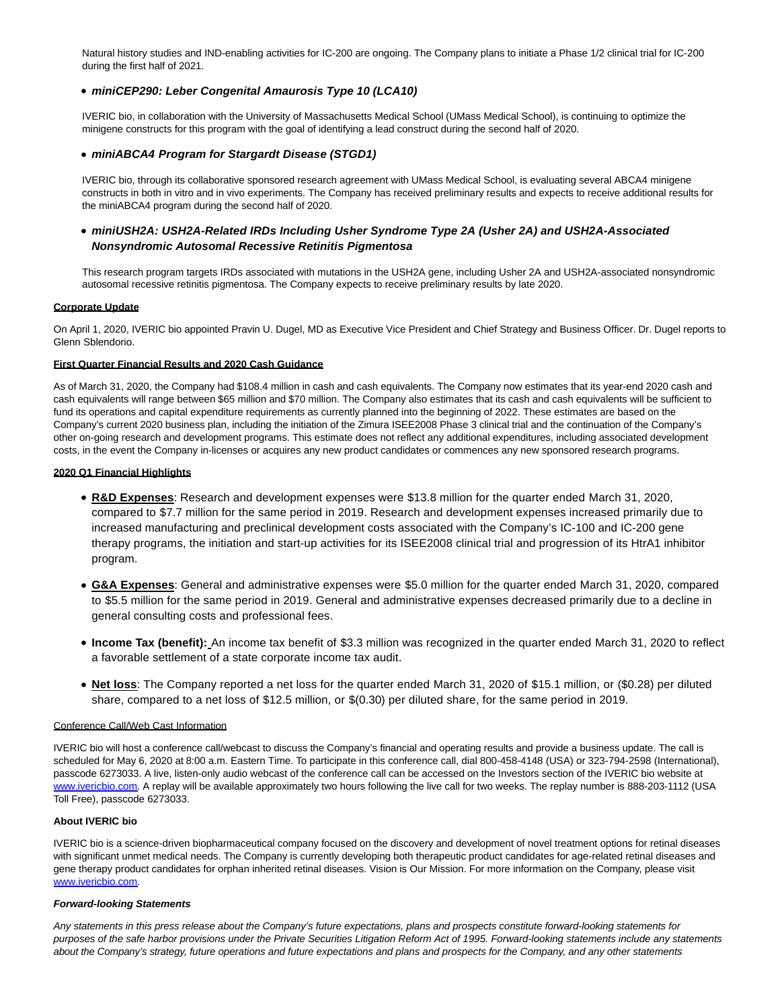Natural history studies and IND-enabling activities for IC-200 are ongoing. The Company plans to initiate a Phase 1/2 clinical trial for IC-200 during the first half of 2021.

# **miniCEP290: Leber Congenital Amaurosis Type 10 (LCA10)**

IVERIC bio, in collaboration with the University of Massachusetts Medical School (UMass Medical School), is continuing to optimize the minigene constructs for this program with the goal of identifying a lead construct during the second half of 2020.

## **miniABCA4 Program for Stargardt Disease (STGD1)**

IVERIC bio, through its collaborative sponsored research agreement with UMass Medical School, is evaluating several ABCA4 minigene constructs in both in vitro and in vivo experiments. The Company has received preliminary results and expects to receive additional results for the miniABCA4 program during the second half of 2020.

# **miniUSH2A: USH2A-Related IRDs Including Usher Syndrome Type 2A (Usher 2A) and USH2A-Associated Nonsyndromic Autosomal Recessive Retinitis Pigmentosa**

This research program targets IRDs associated with mutations in the USH2A gene, including Usher 2A and USH2A-associated nonsyndromic autosomal recessive retinitis pigmentosa. The Company expects to receive preliminary results by late 2020.

#### **Corporate Update**

On April 1, 2020, IVERIC bio appointed Pravin U. Dugel, MD as Executive Vice President and Chief Strategy and Business Officer. Dr. Dugel reports to Glenn Sblendorio.

#### **First Quarter Financial Results and 2020 Cash Guidance**

As of March 31, 2020, the Company had \$108.4 million in cash and cash equivalents. The Company now estimates that its year-end 2020 cash and cash equivalents will range between \$65 million and \$70 million. The Company also estimates that its cash and cash equivalents will be sufficient to fund its operations and capital expenditure requirements as currently planned into the beginning of 2022. These estimates are based on the Company's current 2020 business plan, including the initiation of the Zimura ISEE2008 Phase 3 clinical trial and the continuation of the Company's other on-going research and development programs. This estimate does not reflect any additional expenditures, including associated development costs, in the event the Company in-licenses or acquires any new product candidates or commences any new sponsored research programs.

#### **2020 Q1 Financial Highlights**

- **R&D Expenses**: Research and development expenses were \$13.8 million for the quarter ended March 31, 2020, compared to \$7.7 million for the same period in 2019. Research and development expenses increased primarily due to increased manufacturing and preclinical development costs associated with the Company's IC-100 and IC-200 gene therapy programs, the initiation and start-up activities for its ISEE2008 clinical trial and progression of its HtrA1 inhibitor program.
- **G&A Expenses**: General and administrative expenses were \$5.0 million for the quarter ended March 31, 2020, compared to \$5.5 million for the same period in 2019. General and administrative expenses decreased primarily due to a decline in general consulting costs and professional fees.
- **Income Tax (benefit):** An income tax benefit of \$3.3 million was recognized in the quarter ended March 31, 2020 to reflect a favorable settlement of a state corporate income tax audit.
- **Net loss**: The Company reported a net loss for the quarter ended March 31, 2020 of \$15.1 million, or (\$0.28) per diluted share, compared to a net loss of \$12.5 million, or \$(0.30) per diluted share, for the same period in 2019.

#### Conference Call/Web Cast Information

IVERIC bio will host a conference call/webcast to discuss the Company's financial and operating results and provide a business update. The call is scheduled for May 6, 2020 at 8:00 a.m. Eastern Time. To participate in this conference call, dial 800-458-4148 (USA) or 323-794-2598 (International), passcode 6273033. A live, listen-only audio webcast of the conference call can be accessed on the Investors section of the IVERIC bio website at [www.i](https://cts.businesswire.com/ct/CT?id=smartlink&url=http%3A%2F%2Fwww.ivericbio.com&esheet=52215413&newsitemid=20200506005222&lan=en-US&anchor=www.&index=2&md5=97d72d97dbcb61f986b9c783bad04b90)[vericbio.com.](https://cts.businesswire.com/ct/CT?id=smartlink&url=http%3A%2F%2Fwww.ivericbio.com&esheet=52215413&newsitemid=20200506005222&lan=en-US&anchor=ivericbio.com&index=3&md5=a64fc1cfaa73a2ad4c023e9c7f15604d) A replay will be available approximately two hours following the live call for two weeks. The replay number is 888-203-1112 (USA Toll Free), passcode 6273033.

#### **About IVERIC bio**

IVERIC bio is a science-driven biopharmaceutical company focused on the discovery and development of novel treatment options for retinal diseases with significant unmet medical needs. The Company is currently developing both therapeutic product candidates for age-related retinal diseases and gene therapy product candidates for orphan inherited retinal diseases. Vision is Our Mission. For more information on the Company, please visit [www.ivericbio.com.](https://cts.businesswire.com/ct/CT?id=smartlink&url=http%3A%2F%2Fwww.ivericbio.com&esheet=52215413&newsitemid=20200506005222&lan=en-US&anchor=www.ivericbio.com&index=4&md5=cf7905a535d315c48579fcb8d3c6cc9d)

#### **Forward-looking Statements**

Any statements in this press release about the Company's future expectations, plans and prospects constitute forward-looking statements for purposes of the safe harbor provisions under the Private Securities Litigation Reform Act of 1995. Forward-looking statements include any statements about the Company's strategy, future operations and future expectations and plans and prospects for the Company, and any other statements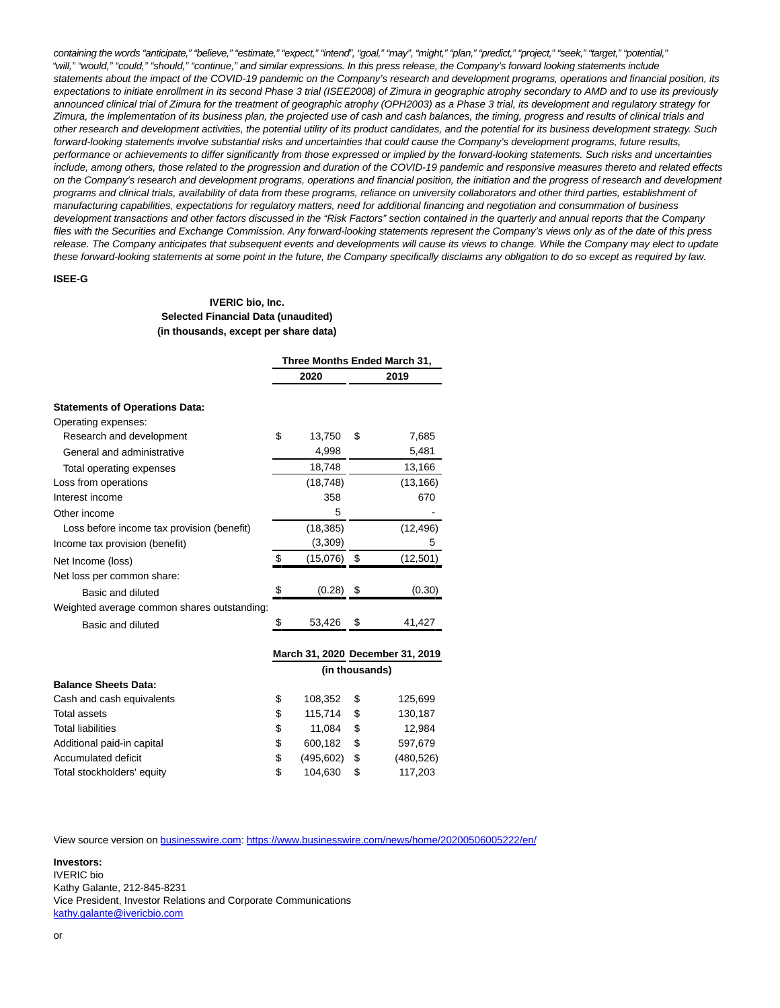containing the words "anticipate," "believe," "estimate," "expect," "intend", "goal," "may", "might," "plan," "predict," "project," "seek," "target," "potential," "will," "would," "could," "should," "continue," and similar expressions. In this press release, the Company's forward looking statements include statements about the impact of the COVID-19 pandemic on the Company's research and development programs, operations and financial position, its expectations to initiate enrollment in its second Phase 3 trial (ISEE2008) of Zimura in geographic atrophy secondary to AMD and to use its previously announced clinical trial of Zimura for the treatment of geographic atrophy (OPH2003) as a Phase 3 trial, its development and regulatory strategy for Zimura, the implementation of its business plan, the projected use of cash and cash balances, the timing, progress and results of clinical trials and other research and development activities, the potential utility of its product candidates, and the potential for its business development strategy. Such forward-looking statements involve substantial risks and uncertainties that could cause the Company's development programs, future results, performance or achievements to differ significantly from those expressed or implied by the forward-looking statements. Such risks and uncertainties include, among others, those related to the progression and duration of the COVID-19 pandemic and responsive measures thereto and related effects on the Company's research and development programs, operations and financial position, the initiation and the progress of research and development programs and clinical trials, availability of data from these programs, reliance on university collaborators and other third parties, establishment of manufacturing capabilities, expectations for regulatory matters, need for additional financing and negotiation and consummation of business development transactions and other factors discussed in the "Risk Factors" section contained in the quarterly and annual reports that the Company files with the Securities and Exchange Commission. Any forward-looking statements represent the Company's views only as of the date of this press release. The Company anticipates that subsequent events and developments will cause its views to change. While the Company may elect to update these forward-looking statements at some point in the future, the Company specifically disclaims any obligation to do so except as required by law.

#### **ISEE-G**

# **IVERIC bio, Inc. Selected Financial Data (unaudited) (in thousands, except per share data)**

|                                             |      | Three Months Ended March 31,     |      |            |  |
|---------------------------------------------|------|----------------------------------|------|------------|--|
|                                             | 2020 |                                  | 2019 |            |  |
| <b>Statements of Operations Data:</b>       |      |                                  |      |            |  |
| Operating expenses:                         |      |                                  |      |            |  |
| Research and development                    | \$   | 13,750                           | \$   | 7,685      |  |
| General and administrative                  |      | 4,998                            |      | 5,481      |  |
| Total operating expenses                    |      | 18,748                           |      | 13,166     |  |
| Loss from operations                        |      | (18, 748)                        |      | (13, 166)  |  |
| Interest income                             |      | 358                              |      | 670        |  |
| Other income                                |      | 5                                |      |            |  |
| Loss before income tax provision (benefit)  |      | (18, 385)                        |      | (12, 496)  |  |
| Income tax provision (benefit)              |      | (3,309)                          |      | 5          |  |
| Net Income (loss)                           | \$   | (15,076)                         | \$   | (12, 501)  |  |
| Net loss per common share:                  |      |                                  |      |            |  |
| Basic and diluted                           | \$   | $(0.28)$ \$                      |      | (0.30)     |  |
| Weighted average common shares outstanding: |      |                                  |      |            |  |
| Basic and diluted                           | \$   | 53,426                           | \$   | 41,427     |  |
|                                             |      | March 31, 2020 December 31, 2019 |      |            |  |
|                                             |      | (in thousands)                   |      |            |  |
| <b>Balance Sheets Data:</b>                 |      |                                  |      |            |  |
| Cash and cash equivalents                   | \$   | 108,352                          | \$   | 125,699    |  |
| <b>Total assets</b>                         | \$   | 115,714                          | \$   | 130,187    |  |
| <b>Total liabilities</b>                    | \$   | 11,084                           | \$   | 12,984     |  |
| Additional paid-in capital                  | \$   | 600,182                          | \$   | 597,679    |  |
| Accumulated deficit                         | \$   | (495, 602)                       | \$   | (480, 526) |  |
| Total stockholders' equity                  | \$   | 104,630                          | \$   | 117,203    |  |

View source version on [businesswire.com:](http://businesswire.com/)<https://www.businesswire.com/news/home/20200506005222/en/>

# **Investors:**

IVERIC bio Kathy Galante, 212-845-8231 Vice President, Investor Relations and Corporate Communications [kathy.galante@ivericbio.com](mailto:kathy.galante@ivericbio.com)